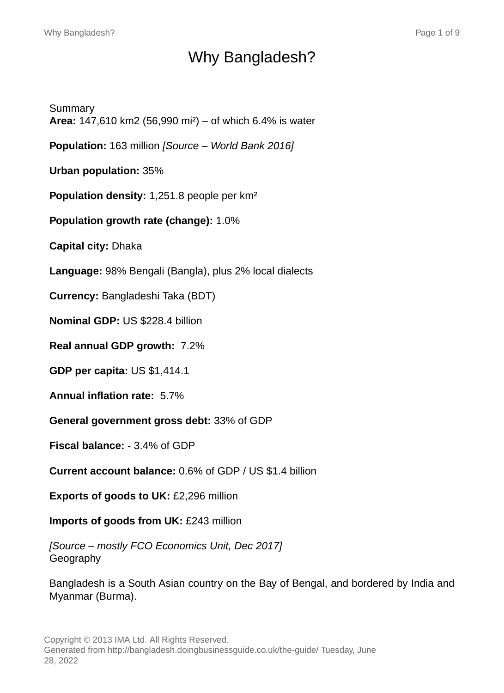# Why Bangladesh?

Summary **Area:** 147,610 km2 (56,990 mi²) – of which 6.4% is water

**Population:** 163 million *[Source – World Bank 2016]* 

**Urban population:** 35%

**Population density:** 1,251.8 people per km²

**Population growth rate (change):** 1.0%

**Capital city:** Dhaka

**Language:** 98% Bengali (Bangla), plus 2% local dialects

**Currency:** Bangladeshi Taka (BDT)

**Nominal GDP:** US \$228.4 billion

**Real annual GDP growth:** 7.2%

**GDP per capita:** US \$1,414.1

**Annual inflation rate:** 5.7%

**General government gross debt:** 33% of GDP

**Fiscal balance:** - 3.4% of GDP

**Current account balance:** 0.6% of GDP / US \$1.4 billion

**Exports of goods to UK:** £2,296 million

**Imports of goods from UK:** £243 million

[Source – mostly FCO Economics Unit, Dec 2017] Geography

Bangladesh is a South Asian country on the Bay of Bengal, and bordered by India and Myanmar (Burma).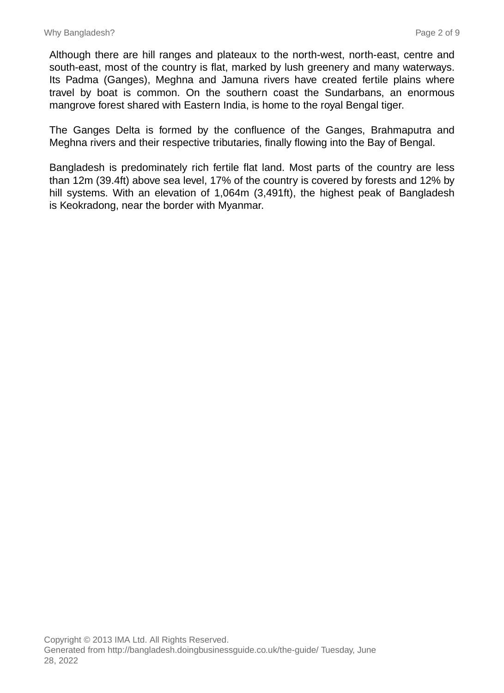Although there are hill ranges and plateaux to the north-west, north-east, centre and south-east, most of the country is flat, marked by lush greenery and many waterways. Its Padma (Ganges), Meghna and Jamuna rivers have created fertile plains where travel by boat is common. On the southern coast the Sundarbans, an enormous mangrove forest shared with Eastern India, is home to the royal Bengal tiger.

The Ganges Delta is formed by the confluence of the Ganges, Brahmaputra and Meghna rivers and their respective tributaries, finally flowing into the Bay of Bengal.

Bangladesh is predominately rich fertile flat land. Most parts of the country are less than 12m (39.4ft) above sea level, 17% of the country is covered by forests and 12% by hill systems. With an elevation of 1,064m (3,491ft), the highest peak of Bangladesh is Keokradong, near the border with Myanmar.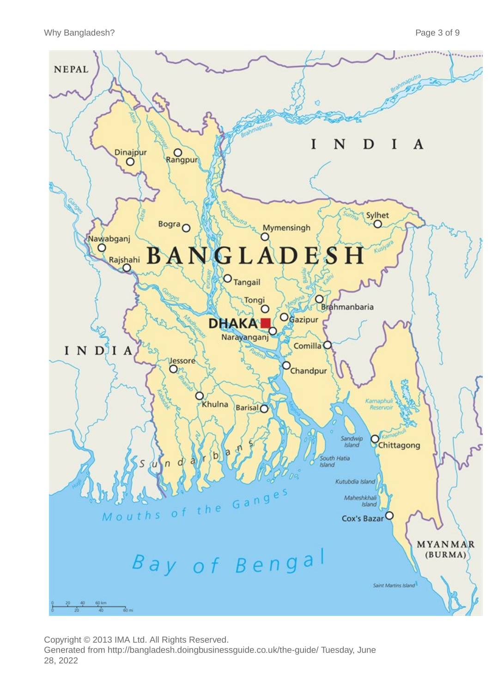Why Bangladesh? Page 3 of 9



Copyright © 2013 IMA Ltd. All Rights Reserved.

Generated from http://bangladesh.doingbusinessguide.co.uk/the-guide/ Tuesday, June 28, 2022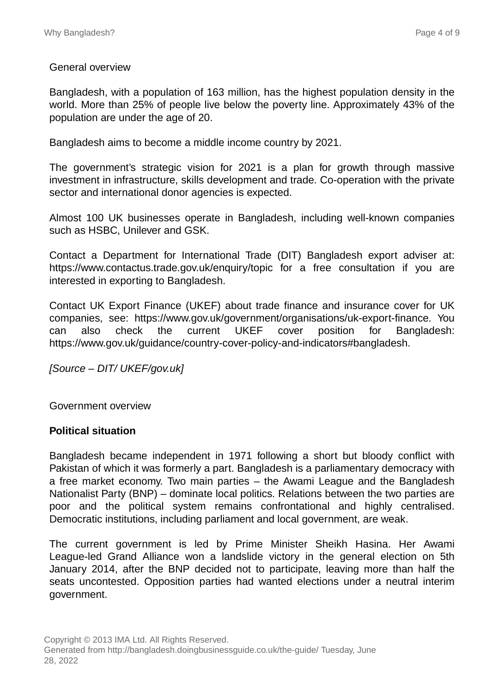## General overview

Bangladesh, with a population of 163 million, has the highest population density in the world. More than 25% of people live below the poverty line. Approximately 43% of the population are under the age of 20.

Bangladesh aims to become a middle income country by 2021.

The government's strategic vision for 2021 is a plan for growth through massive investment in infrastructure, skills development and trade. Co-operation with the private sector and international donor agencies is expected.

Almost 100 UK businesses operate in Bangladesh, including well-known companies such as HSBC, Unilever and GSK.

Contact a Department for International Trade (DIT) Bangladesh export adviser at: https://www.contactus.trade.gov.uk/enquiry/topic for a free consultation if you are interested in exporting to Bangladesh.

Contact UK Export Finance (UKEF) about trade finance and insurance cover for UK companies, see: https://www.gov.uk/government/organisations/uk-export-finance. You can also check the current UKEF cover position for Bangladesh: https://www.gov.uk/guidance/country-cover-policy-and-indicators#bangladesh.

[Source – DIT/ UKEF/gov.uk]

Government overview

## **Political situation**

Bangladesh became independent in 1971 following a short but bloody conflict with Pakistan of which it was formerly a part. Bangladesh is a parliamentary democracy with a free market economy. Two main parties – the Awami League and the Bangladesh Nationalist Party (BNP) – dominate local politics. Relations between the two parties are poor and the political system remains confrontational and highly centralised. Democratic institutions, including parliament and local government, are weak.

The current government is led by Prime Minister Sheikh Hasina. Her Awami League-led Grand Alliance won a landslide victory in the general election on 5th January 2014, after the BNP decided not to participate, leaving more than half the seats uncontested. Opposition parties had wanted elections under a neutral interim government.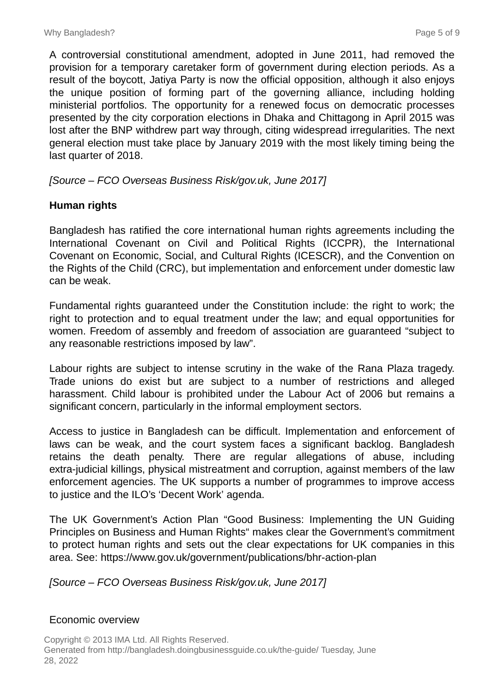A controversial constitutional amendment, adopted in June 2011, had removed the provision for a temporary caretaker form of government during election periods. As a result of the boycott, Jatiya Party is now the official opposition, although it also enjoys the unique position of forming part of the governing alliance, including holding ministerial portfolios. The opportunity for a renewed focus on democratic processes presented by the city corporation elections in Dhaka and Chittagong in April 2015 was lost after the BNP withdrew part way through, citing widespread irregularities. The next general election must take place by January 2019 with the most likely timing being the last quarter of 2018.

[Source – FCO Overseas Business Risk/gov.uk, June 2017]

# **Human rights**

Bangladesh has ratified the core international human rights agreements including the International Covenant on Civil and Political Rights (ICCPR), the International Covenant on Economic, Social, and Cultural Rights (ICESCR), and the Convention on the Rights of the Child (CRC), but implementation and enforcement under domestic law can be weak.

Fundamental rights guaranteed under the Constitution include: the right to work; the right to protection and to equal treatment under the law; and equal opportunities for women. Freedom of assembly and freedom of association are guaranteed "subject to any reasonable restrictions imposed by law".

Labour rights are subject to intense scrutiny in the wake of the Rana Plaza tragedy. Trade unions do exist but are subject to a number of restrictions and alleged harassment. Child labour is prohibited under the Labour Act of 2006 but remains a significant concern, particularly in the informal employment sectors.

Access to justice in Bangladesh can be difficult. Implementation and enforcement of laws can be weak, and the court system faces a significant backlog. Bangladesh retains the death penalty. There are regular allegations of abuse, including extra-judicial killings, physical mistreatment and corruption, against members of the law enforcement agencies. The UK supports a number of programmes to improve access to justice and the ILO's 'Decent Work' agenda.

The UK Government's Action Plan "Good Business: Implementing the UN Guiding Principles on Business and Human Rights" makes clear the Government's commitment to protect human rights and sets out the clear expectations for UK companies in this area. See: https://www.gov.uk/government/publications/bhr-action-plan

[Source – FCO Overseas Business Risk/gov.uk, June 2017]

# Economic overview

Copyright © 2013 IMA Ltd. All Rights Reserved. Generated from http://bangladesh.doingbusinessguide.co.uk/the-guide/ Tuesday, June 28, 2022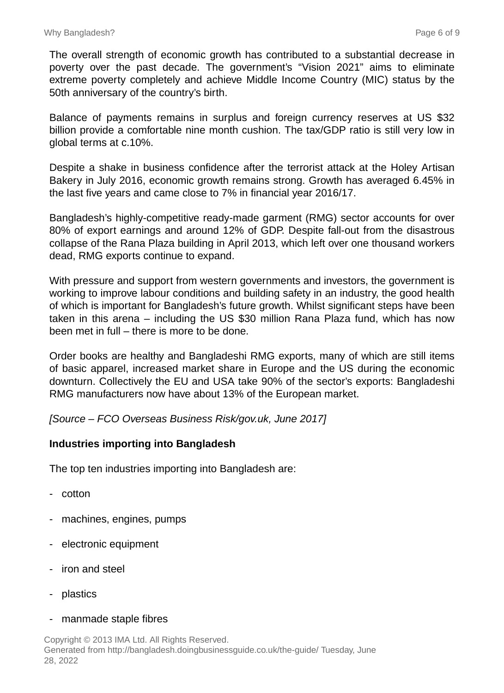The overall strength of economic growth has contributed to a substantial decrease in poverty over the past decade. The government's "Vision 2021" aims to eliminate extreme poverty completely and achieve Middle Income Country (MIC) status by the 50th anniversary of the country's birth.

Balance of payments remains in surplus and foreign currency reserves at US \$32 billion provide a comfortable nine month cushion. The tax/GDP ratio is still very low in global terms at c.10%.

Despite a shake in business confidence after the terrorist attack at the Holey Artisan Bakery in July 2016, economic growth remains strong. Growth has averaged 6.45% in the last five years and came close to 7% in financial year 2016/17.

Bangladesh's highly-competitive ready-made garment (RMG) sector accounts for over 80% of export earnings and around 12% of GDP. Despite fall-out from the disastrous collapse of the Rana Plaza building in April 2013, which left over one thousand workers dead, RMG exports continue to expand.

With pressure and support from western governments and investors, the government is working to improve labour conditions and building safety in an industry, the good health of which is important for Bangladesh's future growth. Whilst significant steps have been taken in this arena – including the US \$30 million Rana Plaza fund, which has now been met in full – there is more to be done.

Order books are healthy and Bangladeshi RMG exports, many of which are still items of basic apparel, increased market share in Europe and the US during the economic downturn. Collectively the EU and USA take 90% of the sector's exports: Bangladeshi RMG manufacturers now have about 13% of the European market.

[Source – FCO Overseas Business Risk/gov.uk, June 2017]

# **Industries importing into Bangladesh**

The top ten industries importing into Bangladesh are:

- cotton
- machines, engines, pumps
- electronic equipment
- iron and steel
- plastics
- manmade staple fibres

Copyright © 2013 IMA Ltd. All Rights Reserved. Generated from http://bangladesh.doingbusinessguide.co.uk/the-guide/ Tuesday, June 28, 2022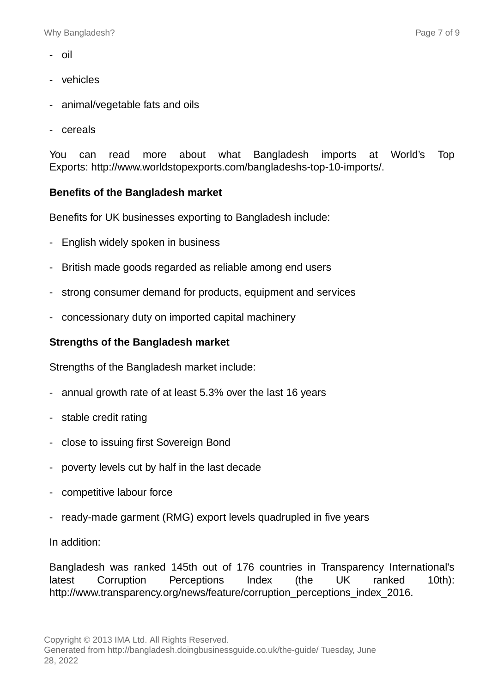Why Bangladesh? Page 7 of 9

- oil
- vehicles
- animal/vegetable fats and oils
- cereals

You can read more about what Bangladesh imports at World's Top Exports: http://www.worldstopexports.com/bangladeshs-top-10-imports/.

#### **Benefits of the Bangladesh market**

Benefits for UK businesses exporting to Bangladesh include:

- English widely spoken in business
- British made goods regarded as reliable among end users
- strong consumer demand for products, equipment and services
- concessionary duty on imported capital machinery

## **Strengths of the Bangladesh market**

Strengths of the Bangladesh market include:

- annual growth rate of at least 5.3% over the last 16 years
- stable credit rating
- close to issuing first Sovereign Bond
- poverty levels cut by half in the last decade
- competitive labour force
- ready-made garment (RMG) export levels quadrupled in five years

In addition:

Bangladesh was ranked 145th out of 176 countries in Transparency International's latest Corruption Perceptions Index (the UK ranked 10th): http://www.transparency.org/news/feature/corruption\_perceptions\_index\_2016.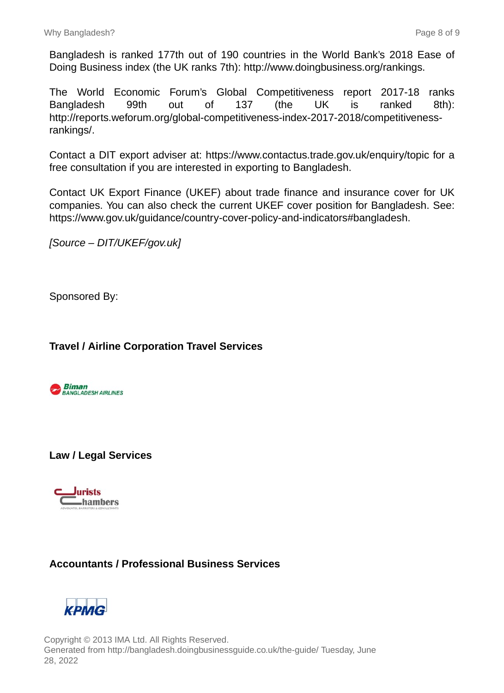Bangladesh is ranked 177th out of 190 countries in the World Bank's 2018 Ease of Doing Business index (the UK ranks 7th): http://www.doingbusiness.org/rankings.

The World Economic Forum's Global Competitiveness report 2017-18 ranks Bangladesh 99th out of 137 (the UK is ranked 8th): http://reports.weforum.org/global-competitiveness-index-2017-2018/competitivenessrankings/.

Contact a DIT export adviser at: https://www.contactus.trade.gov.uk/enquiry/topic for a free consultation if you are interested in exporting to Bangladesh.

Contact UK Export Finance (UKEF) about trade finance and insurance cover for UK companies. You can also check the current UKEF cover position for Bangladesh. See: https://www.gov.uk/guidance/country-cover-policy-and-indicators#bangladesh.

[Source – DIT/UKEF/gov.uk]

Sponsored By:

# **Travel / Airline Corporation Travel Services**



# **Law / Legal Services**



# **Accountants / Professional Business Services**



Copyright © 2013 IMA Ltd. All Rights Reserved. Generated from http://bangladesh.doingbusinessguide.co.uk/the-guide/ Tuesday, June 28, 2022